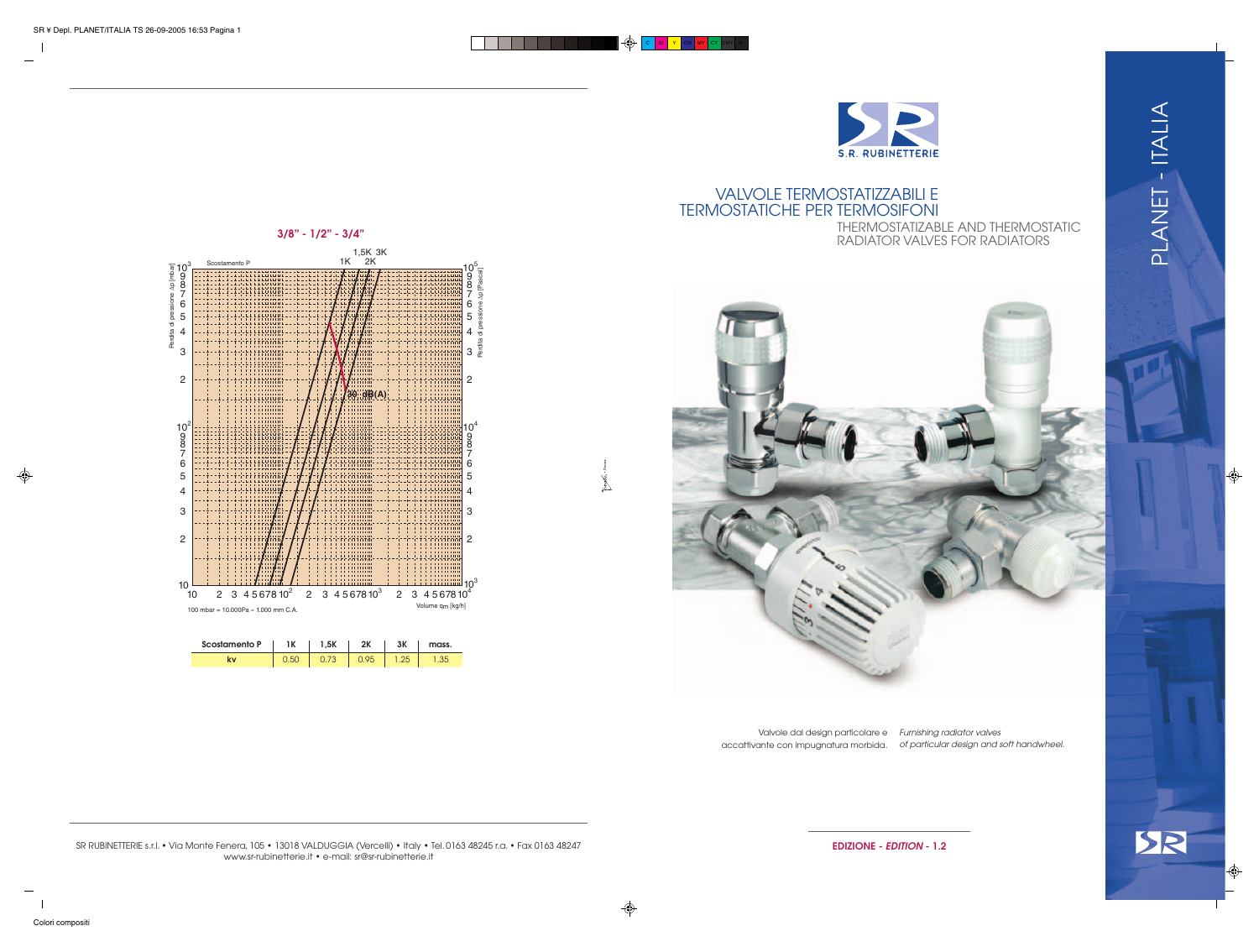1,5K 3K  $1K$   $2K$ Scostamento P 1K 103  $10^{5}$ Perdita di pressione ∆p [mbar] Perdita di pressione ∆p [Pascal] 9 8 8 7 7 6 6 5 LLUIUUL 4  $\frac{6}{5}$ 4  $3 \frac{a}{2}$ . . . . . . . . . 3 4444468888 24.92 +-+-++-++++++++++ 83383 2 2 4-14-1111-120 4995 **30 dB(A)** HHHHHH 4999  $10<sup>4</sup>$  $10^2$ 9 9 8 8  $\check{7}$ 7 6 2월 4 H 4 H 6 5 - 2000 2000 2000 5 8838 بسببيب 4 4 -98888 1144848 3 3 8888 84888 .........<br>תחייה זו 11111 2 88888 44888 2 . . . . . . . . 91866  $10^{3}$  $\frac{10}{10}$ 2 3 4 5 6 7 8 10<sup>2</sup> 2 3 4 5 6 7 8 10<sup>3</sup> 2 3 4 5 6 7 8 10<sup>4</sup> Volume qm [kg/h] 100 mbar = 10.000Pa  $≈ 1.000$  mm C.A.

PLANET - ITALIA PLANET - ITALIA

 **3/8" - 1/2" - 3/4"** $\frac{1}{2}$  10<sup>1</sup>  $\overline{a}$  $rac{e}{2}$  5 ㅎ dita



| <b>Scostamento P</b> | 1K | שמ | つレ | mass. |
|----------------------|----|----|----|-------|
|                      |    |    |    |       |



## VALVOLE TERMOSTATIZZABILI E TERMOSTATICHE PER TERMOSIFONI THERMOSTATIZABLE AND THERMOSTATIC RADIATOR VALVES FOR RADIATORS



| Valvole dal design particolare e      | Furnis |
|---------------------------------------|--------|
| accattivante con impugnatura morbida. | of pa  |



ishing radiator valves articular design and soft handwheel.